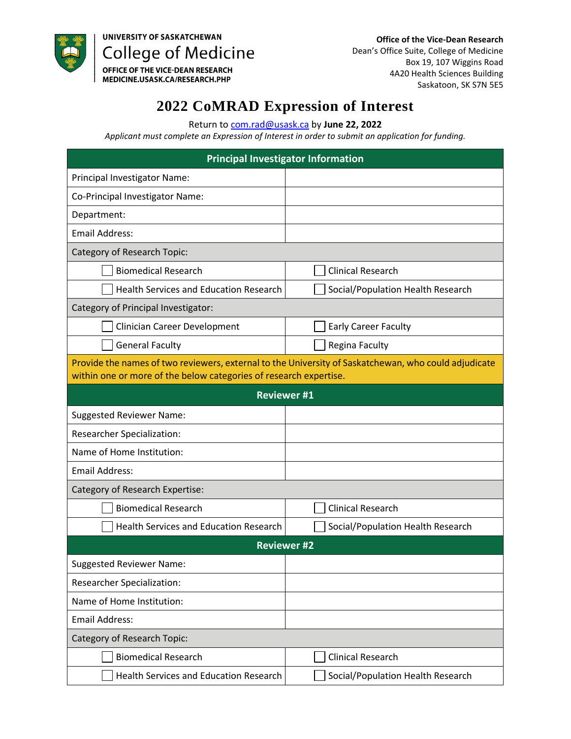

UNIVERSITY OF SASKATCHEWAN **College of Medicine** 

OFFICE OF THE VICE-DEAN RESEARCH<br>MEDICINE.USASK.CA/RESEARCH.PHP

## **2022 CoMRAD Expression of Interest**

Return to [com.rad@usask.ca](mailto:com.rad@usask.ca) by **June 22, 2022** 

*Applicant must complete an Expression of Interest in order to submit an application for funding.* 

| <b>Principal Investigator Information</b>                                                                                                                                 |                                   |
|---------------------------------------------------------------------------------------------------------------------------------------------------------------------------|-----------------------------------|
| Principal Investigator Name:                                                                                                                                              |                                   |
| Co-Principal Investigator Name:                                                                                                                                           |                                   |
| Department:                                                                                                                                                               |                                   |
| <b>Email Address:</b>                                                                                                                                                     |                                   |
| Category of Research Topic:                                                                                                                                               |                                   |
| <b>Biomedical Research</b>                                                                                                                                                | <b>Clinical Research</b>          |
| <b>Health Services and Education Research</b>                                                                                                                             | Social/Population Health Research |
| Category of Principal Investigator:                                                                                                                                       |                                   |
| Clinician Career Development                                                                                                                                              | <b>Early Career Faculty</b>       |
| <b>General Faculty</b>                                                                                                                                                    | Regina Faculty                    |
| Provide the names of two reviewers, external to the University of Saskatchewan, who could adjudicate<br>within one or more of the below categories of research expertise. |                                   |
| <b>Reviewer#1</b>                                                                                                                                                         |                                   |
| <b>Suggested Reviewer Name:</b>                                                                                                                                           |                                   |
| Researcher Specialization:                                                                                                                                                |                                   |
| Name of Home Institution:                                                                                                                                                 |                                   |
| <b>Email Address:</b>                                                                                                                                                     |                                   |
| Category of Research Expertise:                                                                                                                                           |                                   |
| <b>Biomedical Research</b>                                                                                                                                                | <b>Clinical Research</b>          |
| <b>Health Services and Education Research</b>                                                                                                                             | Social/Population Health Research |
| <b>Reviewer #2</b>                                                                                                                                                        |                                   |
| <b>Suggested Reviewer Name:</b>                                                                                                                                           |                                   |
| <b>Researcher Specialization:</b>                                                                                                                                         |                                   |
| Name of Home Institution:                                                                                                                                                 |                                   |
| <b>Email Address:</b>                                                                                                                                                     |                                   |
| Category of Research Topic:                                                                                                                                               |                                   |
| <b>Biomedical Research</b>                                                                                                                                                | <b>Clinical Research</b>          |
| Health Services and Education Research                                                                                                                                    | Social/Population Health Research |